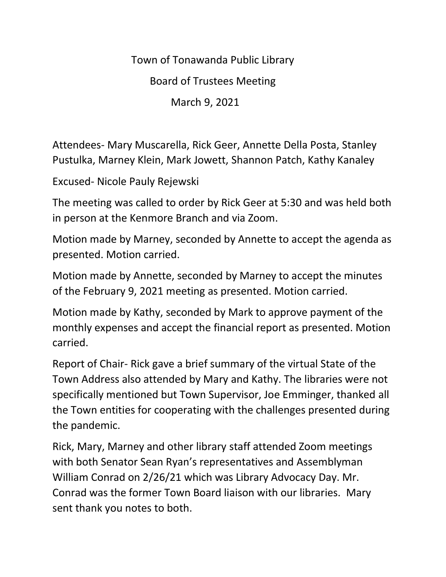Town of Tonawanda Public Library Board of Trustees Meeting March 9, 2021

Attendees- Mary Muscarella, Rick Geer, Annette Della Posta, Stanley Pustulka, Marney Klein, Mark Jowett, Shannon Patch, Kathy Kanaley

Excused- Nicole Pauly Rejewski

The meeting was called to order by Rick Geer at 5:30 and was held both in person at the Kenmore Branch and via Zoom.

Motion made by Marney, seconded by Annette to accept the agenda as presented. Motion carried.

Motion made by Annette, seconded by Marney to accept the minutes of the February 9, 2021 meeting as presented. Motion carried.

Motion made by Kathy, seconded by Mark to approve payment of the monthly expenses and accept the financial report as presented. Motion carried.

Report of Chair- Rick gave a brief summary of the virtual State of the Town Address also attended by Mary and Kathy. The libraries were not specifically mentioned but Town Supervisor, Joe Emminger, thanked all the Town entities for cooperating with the challenges presented during the pandemic.

Rick, Mary, Marney and other library staff attended Zoom meetings with both Senator Sean Ryan's representatives and Assemblyman William Conrad on 2/26/21 which was Library Advocacy Day. Mr. Conrad was the former Town Board liaison with our libraries. Mary sent thank you notes to both.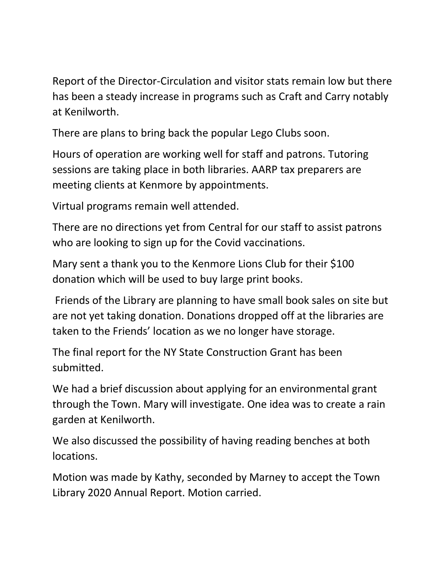Report of the Director-Circulation and visitor stats remain low but there has been a steady increase in programs such as Craft and Carry notably at Kenilworth.

There are plans to bring back the popular Lego Clubs soon.

Hours of operation are working well for staff and patrons. Tutoring sessions are taking place in both libraries. AARP tax preparers are meeting clients at Kenmore by appointments.

Virtual programs remain well attended.

There are no directions yet from Central for our staff to assist patrons who are looking to sign up for the Covid vaccinations.

Mary sent a thank you to the Kenmore Lions Club for their \$100 donation which will be used to buy large print books.

Friends of the Library are planning to have small book sales on site but are not yet taking donation. Donations dropped off at the libraries are taken to the Friends' location as we no longer have storage.

The final report for the NY State Construction Grant has been submitted.

We had a brief discussion about applying for an environmental grant through the Town. Mary will investigate. One idea was to create a rain garden at Kenilworth.

We also discussed the possibility of having reading benches at both locations.

Motion was made by Kathy, seconded by Marney to accept the Town Library 2020 Annual Report. Motion carried.